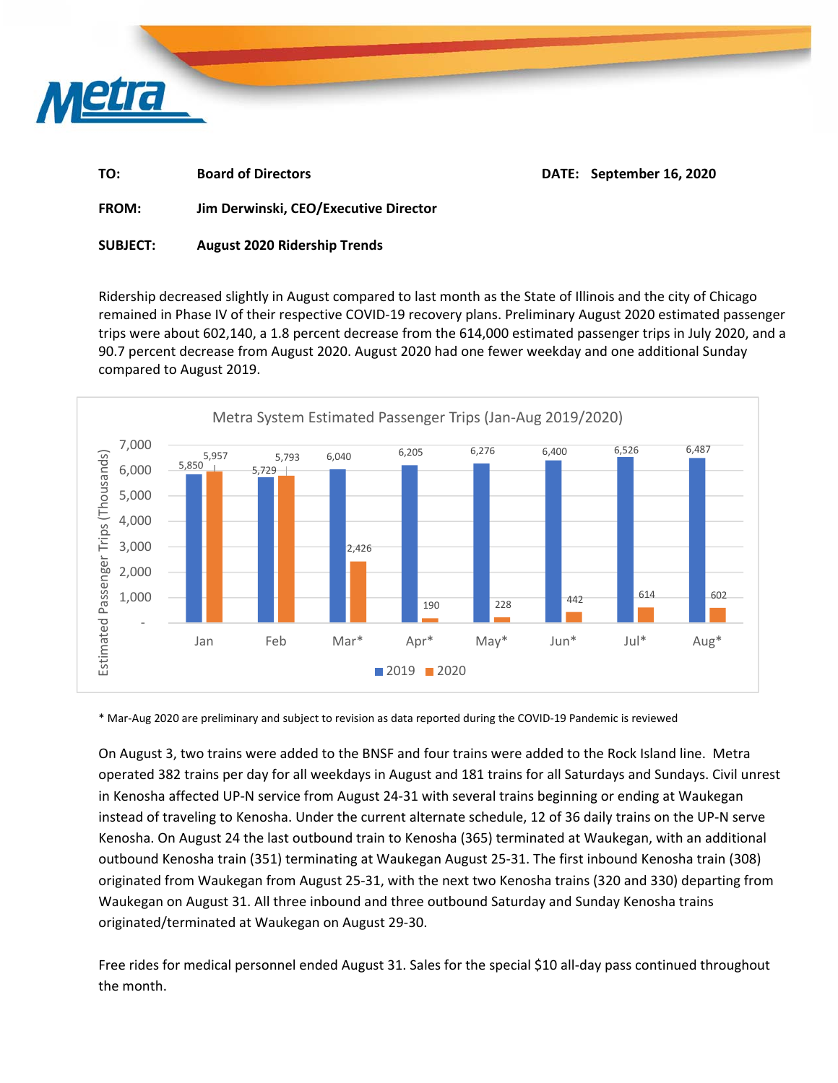

| ГΟ: | <b>Board of Directors</b> |
|-----|---------------------------|
|     |                           |

**DATE: September 16, 2020** 

**FROM: Jim Derwinski, CEO/Executive Director** 

**SUBJECT: August 2020 Ridership Trends** 

Ridership decreased slightly in August compared to last month as the State of Illinois and the city of Chicago remained in Phase IV of their respective COVID‐19 recovery plans. Preliminary August 2020 estimated passenger trips were about 602,140, a 1.8 percent decrease from the 614,000 estimated passenger trips in July 2020, and a 90.7 percent decrease from August 2020. August 2020 had one fewer weekday and one additional Sunday compared to August 2019.



\* Mar‐Aug 2020 are preliminary and subject to revision as data reported during the COVID‐19 Pandemic is reviewed

On August 3, two trains were added to the BNSF and four trains were added to the Rock Island line. Metra operated 382 trains per day for all weekdays in August and 181 trains for all Saturdays and Sundays. Civil unrest in Kenosha affected UP‐N service from August 24‐31 with several trains beginning or ending at Waukegan instead of traveling to Kenosha. Under the current alternate schedule, 12 of 36 daily trains on the UP‐N serve Kenosha. On August 24 the last outbound train to Kenosha (365) terminated at Waukegan, with an additional outbound Kenosha train (351) terminating at Waukegan August 25‐31. The first inbound Kenosha train (308) originated from Waukegan from August 25‐31, with the next two Kenosha trains (320 and 330) departing from Waukegan on August 31. All three inbound and three outbound Saturday and Sunday Kenosha trains originated/terminated at Waukegan on August 29‐30.

Free rides for medical personnel ended August 31. Sales for the special \$10 all-day pass continued throughout the month.